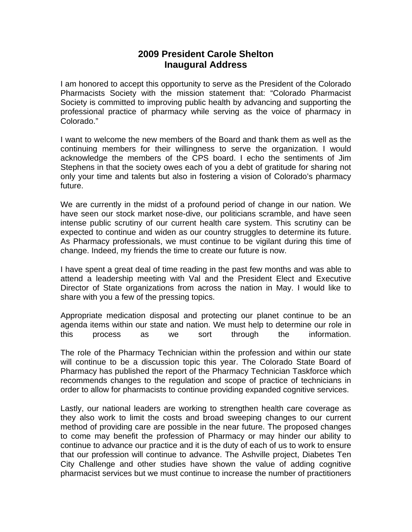## **2009 President Carole Shelton Inaugural Address**

I am honored to accept this opportunity to serve as the President of the Colorado Pharmacists Society with the mission statement that: "Colorado Pharmacist Society is committed to improving public health by advancing and supporting the professional practice of pharmacy while serving as the voice of pharmacy in Colorado."

I want to welcome the new members of the Board and thank them as well as the continuing members for their willingness to serve the organization. I would acknowledge the members of the CPS board. I echo the sentiments of Jim Stephens in that the society owes each of you a debt of gratitude for sharing not only your time and talents but also in fostering a vision of Colorado's pharmacy future.

We are currently in the midst of a profound period of change in our nation. We have seen our stock market nose-dive, our politicians scramble, and have seen intense public scrutiny of our current health care system. This scrutiny can be expected to continue and widen as our country struggles to determine its future. As Pharmacy professionals, we must continue to be vigilant during this time of change. Indeed, my friends the time to create our future is now.

I have spent a great deal of time reading in the past few months and was able to attend a leadership meeting with Val and the President Elect and Executive Director of State organizations from across the nation in May. I would like to share with you a few of the pressing topics.

Appropriate medication disposal and protecting our planet continue to be an agenda items within our state and nation. We must help to determine our role in this process as we sort through the information.

The role of the Pharmacy Technician within the profession and within our state will continue to be a discussion topic this year. The Colorado State Board of Pharmacy has published the report of the Pharmacy Technician Taskforce which recommends changes to the regulation and scope of practice of technicians in order to allow for pharmacists to continue providing expanded cognitive services.

Lastly, our national leaders are working to strengthen health care coverage as they also work to limit the costs and broad sweeping changes to our current method of providing care are possible in the near future. The proposed changes to come may benefit the profession of Pharmacy or may hinder our ability to continue to advance our practice and it is the duty of each of us to work to ensure that our profession will continue to advance. The Ashville project, Diabetes Ten City Challenge and other studies have shown the value of adding cognitive pharmacist services but we must continue to increase the number of practitioners